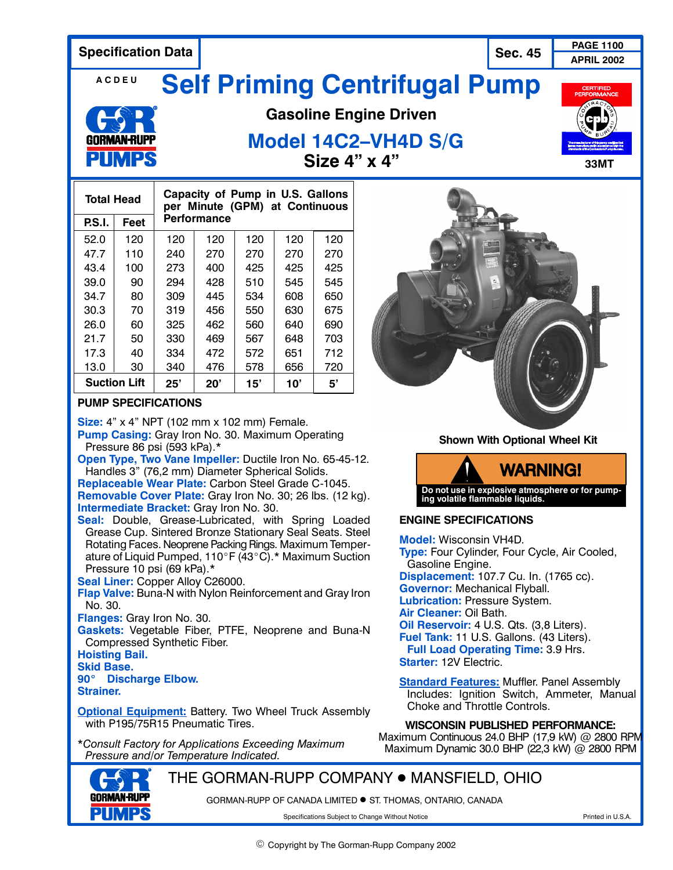**PAGE 1100 Specification Data** 

**Sec. 45 APRIL 2002**

#### **ACDEU Self Priming Centrifugal Pump**



# **Gasoline Engine Driven**

## **Model 14C2–VH4D S/G Size 4" x 4"** 33MT

| <b>Total Head</b>   |      | Capacity of Pump in U.S. Gallons<br>per Minute (GPM) at Continuous |     |     |     |     |
|---------------------|------|--------------------------------------------------------------------|-----|-----|-----|-----|
| P.S.I.              | Feet | <b>Performance</b>                                                 |     |     |     |     |
| 52.0                | 120  | 120                                                                | 120 | 120 | 120 | 120 |
| 47.7                | 110  | 240                                                                | 270 | 270 | 270 | 270 |
| 43.4                | 100  | 273                                                                | 400 | 425 | 425 | 425 |
| 39.0                | 90   | 294                                                                | 428 | 510 | 545 | 545 |
| 34.7                | 80   | 309                                                                | 445 | 534 | 608 | 650 |
| 30.3                | 70   | 319                                                                | 456 | 550 | 630 | 675 |
| 26.0                | 60   | 325                                                                | 462 | 560 | 640 | 690 |
| 21.7                | 50   | 330                                                                | 469 | 567 | 648 | 703 |
| 17.3                | 40   | 334                                                                | 472 | 572 | 651 | 712 |
| 13.0                | 30   | 340                                                                | 476 | 578 | 656 | 720 |
| <b>Suction Lift</b> |      | 25'                                                                | 20' | 15' | 10' | 5'  |

#### **PUMP SPECIFICATIONS**

**Size:** 4" x 4" NPT (102 mm x 102 mm) Female. **Pump Casing:** Gray Iron No. 30. Maximum Operating Pressure 86 psi (593 kPa).\*

**Open Type, Two Vane Impeller:** Ductile Iron No. 65-45-12. Handles 3" (76,2 mm) Diameter Spherical Solids.

**Replaceable Wear Plate:** Carbon Steel Grade C-1045. **Removable Cover Plate:** Gray Iron No. 30; 26 lbs. (12 kg). **Intermediate Bracket:** Gray Iron No. 30.

**Seal:** Double, Grease-Lubricated, with Spring Loaded Grease Cup. Sintered Bronze Stationary Seal Seats. Steel Rotating Faces. Neoprene Packing Rings. Maximum Temperature of Liquid Pumped,  $110^\circ$ F (43 $^\circ$ C).\* Maximum Suction Pressure 10 psi (69 kPa).\*

**Seal Liner:** Copper Alloy C26000.

**Flap Valve:** Buna-N with Nylon Reinforcement and Gray Iron No. 30.

**Flanges:** Gray Iron No. 30.

**Gaskets:** Vegetable Fiber, PTFE, Neoprene and Buna-N Compressed Synthetic Fiber.

#### **Hoisting Bail.**

**Skid Base.**

### **90**\_ **Discharge Elbow.**

**Strainer.**

**Optional Equipment: Battery. Two Wheel Truck Assembly** with P195/75R15 Pneumatic Tires.

\**Consult Factory for Applications Exceeding Maximum Pressure and/or Temperature Indicated.*

**Shown With Optional Wheel Kit**

**WARNING! Do not use in explosive atmosphere or for pump-ing volatile flammable liquids.**

#### **ENGINE SPECIFICATIONS**

**Model:** Wisconsin VH4D. **Type:** Four Cylinder, Four Cycle, Air Cooled, Gasoline Engine. **Displacement:** 107.7 Cu. In. (1765 cc). **Governor:** Mechanical Flyball. **Lubrication:** Pressure System. **Air Cleaner:** Oil Bath. **Oil Reservoir:** 4 U.S. Qts. (3,8 Liters). **Fuel Tank:** 11 U.S. Gallons. (43 Liters). **Full Load Operating Time:** 3.9 Hrs. **Starter:** 12V Electric.

**Standard Features:** Muffler. Panel Assembly Includes: Ignition Switch, Ammeter, Manual Choke and Throttle Controls.

#### **WISCONSIN PUBLISHED PERFORMANCE:**

Maximum Continuous 24.0 BHP (17,9 kW) @ 2800 RPM Maximum Dynamic 30.0 BHP (22,3 kW) @ 2800 RPM

THE GORMAN-RUPP COMPANY ● MANSFIELD, OHIO

GORMAN-RUPP OF CANADA LIMITED . ST. THOMAS, ONTARIO, CANADA

Specifications Subject to Change Without Notice **Printed in U.S.A.** Printed in U.S.A.